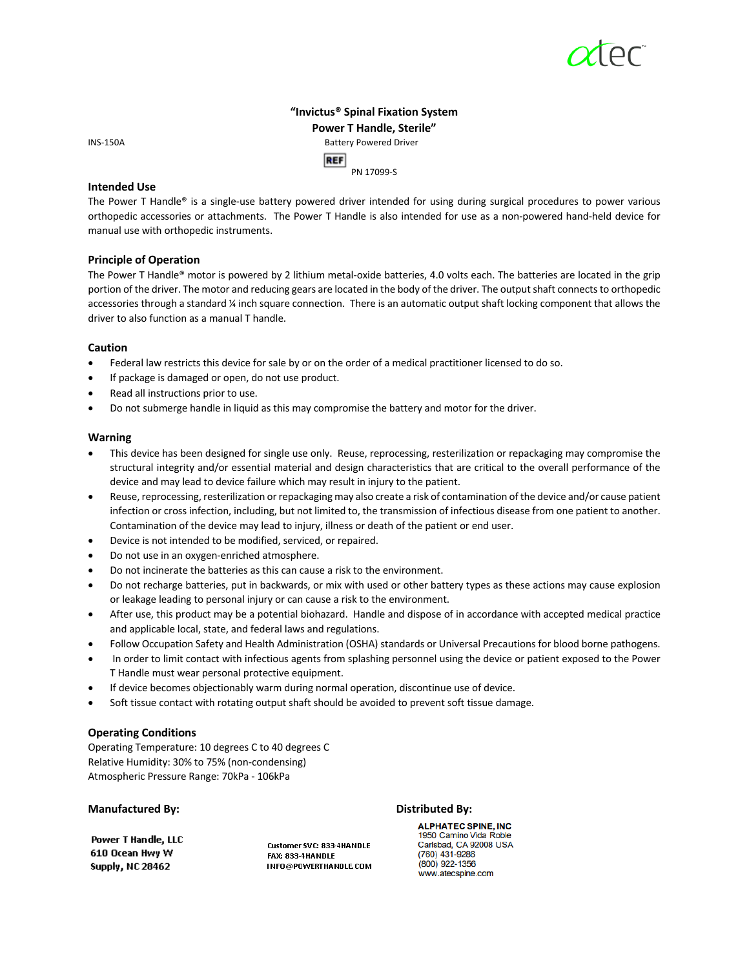# **"Invictus® Spinal Fixation System Power T Handle, Sterile"** INS-150ABattery Powered Driver

**REF** PN 17099-S

# **Intended Use**

The Power T Handle® is a single-use battery powered driver intended for using during surgical procedures to power various orthopedic accessories or attachments. The Power T Handle is also intended for use as a non-powered hand-held device for manual use with orthopedic instruments.

# **Principle of Operation**

The Power T Handle® motor is powered by 2 lithium metal-oxide batteries, 4.0 volts each. The batteries are located in the grip portion of the driver. The motor and reducing gears are located in the body of the driver. The output shaft connects to orthopedic accessories through a standard ¼ inch square connection. There is an automatic output shaft locking component that allows the driver to also function as a manual T handle.

# **Caution**

- Federal law restricts this device for sale by or on the order of a medical practitioner licensed to do so.
- If package is damaged or open, do not use product.
- Read all instructions prior to use.
- Do not submerge handle in liquid as this may compromise the battery and motor for the driver.

# **Warning**

- This device has been designed for single use only. Reuse, reprocessing, resterilization or repackaging may compromise the structural integrity and/or essential material and design characteristics that are critical to the overall performance of the device and may lead to device failure which may result in injury to the patient.
- Reuse, reprocessing, resterilization or repackaging may also create a risk of contamination of the device and/or cause patient infection or cross infection, including, but not limited to, the transmission of infectious disease from one patient to another. Contamination of the device may lead to injury, illness or death of the patient or end user.
- Device is not intended to be modified, serviced, or repaired.
- Do not use in an oxygen-enriched atmosphere.
- Do not incinerate the batteries as this can cause a risk to the environment.
- Do not recharge batteries, put in backwards, or mix with used or other battery types as these actions may cause explosion or leakage leading to personal injury or can cause a risk to the environment.
- After use, this product may be a potential biohazard. Handle and dispose of in accordance with accepted medical practice and applicable local, state, and federal laws and regulations.
- Follow Occupation Safety and Health Administration (OSHA) standards or Universal Precautions for blood borne pathogens.
- In order to limit contact with infectious agents from splashing personnel using the device or patient exposed to the Power T Handle must wear personal protective equipment.
- If device becomes objectionably warm during normal operation, discontinue use of device.
- Soft tissue contact with rotating output shaft should be avoided to prevent soft tissue damage.

# **Operating Conditions**

Operating Temperature: 10 degrees C to 40 degrees C Relative Humidity: 30% to 75% (non-condensing) Atmospheric Pressure Range: 70kPa - 106kPa

# **Manufactured By: Distributed By:**

Power T Handle, LLC 610 Ocean Hwy W Supply, NC 28462

Customer SVC: 833-4HANDLE FAX: 833-4HANDLE INFO@POWERTHANDLE.COM

**ALPHATEC SPINE, INC** 1950 Camino Vida Roble<br>Carlsbad, CA 92008 USA (760) 431-9286 (800) 922-1356 www.atecspine.com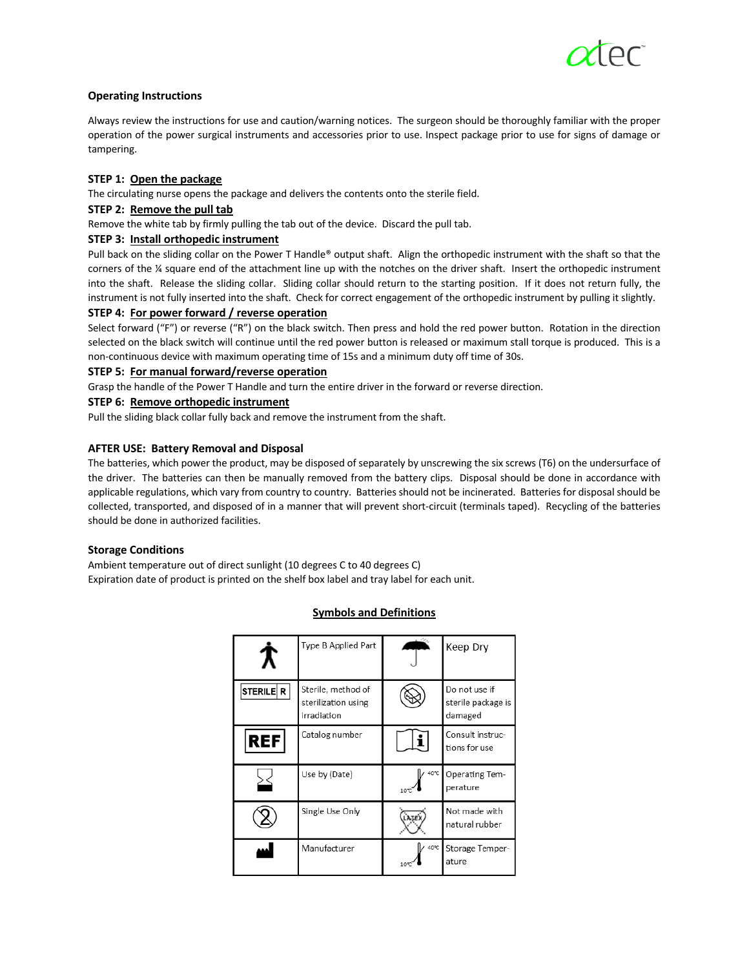# **Operating Instructions**

Always review the instructions for use and caution/warning notices. The surgeon should be thoroughly familiar with the proper operation of the power surgical instruments and accessories prior to use. Inspect package prior to use for signs of damage or tampering.

# **STEP 1: Open the package**

The circulating nurse opens the package and delivers the contents onto the sterile field.

# **STEP 2: Remove the pull tab**

Remove the white tab by firmly pulling the tab out of the device. Discard the pull tab.

# **STEP 3: Install orthopedic instrument**

Pull back on the sliding collar on the Power T Handle® output shaft. Align the orthopedic instrument with the shaft so that the corners of the ¼ square end of the attachment line up with the notches on the driver shaft. Insert the orthopedic instrument into the shaft. Release the sliding collar. Sliding collar should return to the starting position. If it does not return fully, the instrument is not fully inserted into the shaft. Check for correct engagement of the orthopedic instrument by pulling it slightly.

# **STEP 4: For power forward / reverse operation**

Select forward ("F") or reverse ("R") on the black switch. Then press and hold the red power button. Rotation in the direction selected on the black switch will continue until the red power button is released or maximum stall torque is produced. This is a non-continuous device with maximum operating time of 15s and a minimum duty off time of 30s.

# **STEP 5: For manual forward/reverse operation**

Grasp the handle of the Power T Handle and turn the entire driver in the forward or reverse direction.

# **STEP 6: Remove orthopedic instrument**

Pull the sliding black collar fully back and remove the instrument from the shaft.

# **AFTER USE: Battery Removal and Disposal**

The batteries, which power the product, may be disposed of separately by unscrewing the six screws (T6) on the undersurface of the driver. The batteries can then be manually removed from the battery clips. Disposal should be done in accordance with applicable regulations, which vary from country to country. Batteries should not be incinerated. Batteries for disposal should be collected, transported, and disposed of in a manner that will prevent short-circuit (terminals taped). Recycling of the batteries should be done in authorized facilities.

### **Storage Conditions**

Ambient temperature out of direct sunlight (10 degrees C to 40 degrees C) Expiration date of product is printed on the shelf box label and tray label for each unit.

# **Symbols and Definitions**

|           | Type B Applied Part                                      |              | Keep Dry                                       |
|-----------|----------------------------------------------------------|--------------|------------------------------------------------|
| STERILE R | Sterile, method of<br>sterilization using<br>irradiation |              | Do not use if<br>sterile package is<br>damaged |
| REF       | Catalog number                                           |              | Consult instruc-<br>tions for use              |
|           | Use by (Date)                                            | 40°C<br>10%  | Operating Tem-<br>perature                     |
|           | Single Use Only                                          | <b>LATEX</b> | Not made with<br>natural rubber                |
|           | Manufacturer                                             | 40°C         | Storage Temper-<br>ature                       |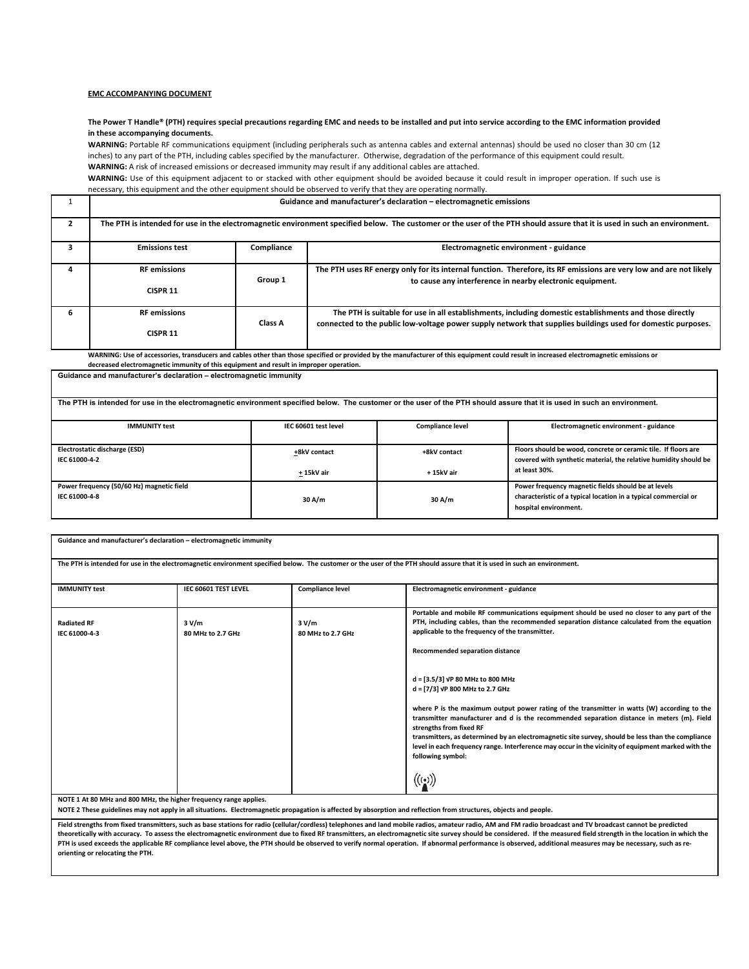#### **EMC ACCOMPANYING DOCUMENT**

#### **The Power T Handle® (PTH) requires special precautions regarding EMC and needs to be installed and put into service according to the EMC information provided in these accompanying documents.**

WARNING: Portable RF communications equipment (including peripherals such as antenna cables and external antennas) should be used no closer than 30 cm (12 inches) to any part of the PTH, including cables specified by the manufacturer. Otherwise, degradation of the performance of this equipment could result. **WARNING:** A risk of increased emissions or decreased immunity may result if any additional cables are attached.

**WARNING:** Use of this equipment adjacent to or stacked with other equipment should be avoided because it could result in improper operation. If such use is necessary, this equipment and the other equipment should be observed to verify that they are operating normally.

|   | Guidance and manufacturer's declaration - electromagnetic emissions                                                                                                       |            |                                                                                                                                                                                 |  |  |
|---|---------------------------------------------------------------------------------------------------------------------------------------------------------------------------|------------|---------------------------------------------------------------------------------------------------------------------------------------------------------------------------------|--|--|
|   | The PTH is intended for use in the electromagnetic environment specified below. The customer or the user of the PTH should assure that it is used in such an environment. |            |                                                                                                                                                                                 |  |  |
|   | <b>Emissions test</b>                                                                                                                                                     | Compliance | Electromagnetic environment - guidance                                                                                                                                          |  |  |
|   | <b>RF</b> emissions                                                                                                                                                       | Group 1    | The PTH uses RF energy only for its internal function. Therefore, its RF emissions are very low and are not likely<br>to cause any interference in nearby electronic equipment. |  |  |
|   | CISPR <sub>11</sub>                                                                                                                                                       |            |                                                                                                                                                                                 |  |  |
| 6 | <b>RF</b> emissions                                                                                                                                                       | Class A    | The PTH is suitable for use in all establishments, including domestic establishments and those directly                                                                         |  |  |
|   | CISPR <sub>11</sub>                                                                                                                                                       |            | connected to the public low-voltage power supply network that supplies buildings used for domestic purposes.                                                                    |  |  |

**WARNING: Use of accessories, transducers and cables other than those specified or provided by the manufacturer of this equipment could result in increased electromagnetic emissions or decreased electromagnetic immunity of this equipment and result in improper operation.**

| Guidance and manufacturer's declaration - electromagnetic immunity                                                                                                        |                         |                                                                                                                                                 |  |  |  |
|---------------------------------------------------------------------------------------------------------------------------------------------------------------------------|-------------------------|-------------------------------------------------------------------------------------------------------------------------------------------------|--|--|--|
| The PTH is intended for use in the electromagnetic environment specified below. The customer or the user of the PTH should assure that it is used in such an environment. |                         |                                                                                                                                                 |  |  |  |
| IEC 60601 test level                                                                                                                                                      | <b>Compliance level</b> | Electromagnetic environment - guidance                                                                                                          |  |  |  |
| +8kV contact                                                                                                                                                              | +8kV contact            | Floors should be wood, concrete or ceramic tile. If floors are<br>covered with synthetic material, the relative humidity should be              |  |  |  |
| + 15kV air                                                                                                                                                                | + 15kV air              | at least 30%.                                                                                                                                   |  |  |  |
| 30 A/m                                                                                                                                                                    | 30 A/m                  | Power frequency magnetic fields should be at levels<br>characteristic of a typical location in a typical commercial or<br>hospital environment. |  |  |  |
|                                                                                                                                                                           |                         |                                                                                                                                                 |  |  |  |

| The PTH is intended for use in the electromagnetic environment specified below. The customer or the user of the PTH should assure that it is used in such an environment.<br><b>IMMUNITY test</b><br><b>Compliance level</b><br>IEC 60601 TEST LEVEL<br>Electromagnetic environment - guidance<br>Portable and mobile RF communications equipment should be used no closer to any part of the<br>PTH, including cables, than the recommended separation distance calculated from the equation<br><b>Radiated RF</b><br>3 V/m<br>3 V/m<br>applicable to the frequency of the transmitter.<br>IEC 61000-4-3<br>80 MHz to 2.7 GHz<br>80 MHz to 2.7 GHz<br>Recommended separation distance<br>d = [3.5/3] VP 80 MHz to 800 MHz<br>d = [7/3] VP 800 MHz to 2.7 GHz<br>where P is the maximum output power rating of the transmitter in watts (W) according to the<br>transmitter manufacturer and d is the recommended separation distance in meters (m). Field<br>strengths from fixed RF<br>transmitters, as determined by an electromagnetic site survey, should be less than the compliance<br>level in each frequency range. Interference may occur in the vicinity of equipment marked with the<br>following symbol:<br>(((•)) | Guidance and manufacturer's declaration - electromagnetic immunity |  |  |  |  |
|---------------------------------------------------------------------------------------------------------------------------------------------------------------------------------------------------------------------------------------------------------------------------------------------------------------------------------------------------------------------------------------------------------------------------------------------------------------------------------------------------------------------------------------------------------------------------------------------------------------------------------------------------------------------------------------------------------------------------------------------------------------------------------------------------------------------------------------------------------------------------------------------------------------------------------------------------------------------------------------------------------------------------------------------------------------------------------------------------------------------------------------------------------------------------------------------------------------------------------|--------------------------------------------------------------------|--|--|--|--|
|                                                                                                                                                                                                                                                                                                                                                                                                                                                                                                                                                                                                                                                                                                                                                                                                                                                                                                                                                                                                                                                                                                                                                                                                                                 |                                                                    |  |  |  |  |
|                                                                                                                                                                                                                                                                                                                                                                                                                                                                                                                                                                                                                                                                                                                                                                                                                                                                                                                                                                                                                                                                                                                                                                                                                                 |                                                                    |  |  |  |  |
|                                                                                                                                                                                                                                                                                                                                                                                                                                                                                                                                                                                                                                                                                                                                                                                                                                                                                                                                                                                                                                                                                                                                                                                                                                 |                                                                    |  |  |  |  |

**NOTE 1 At 80 MHz and 800 MHz, the higher frequency range applies.**

**NOTE 2 These guidelines may not apply in all situations. Electromagnetic propagation is affected by absorption and reflection from structures, objects and people.**

Field strengths from fixed transmitters, such as base stations for radio (cellular/cordless) telephones and land mobile radios, amateur radio, AM and FM radio broadcast and TV broadcast cannot be predicted theoretically with accuracy. To assess the electromagnetic environment due to fixed RF transmitters, an electromagnetic site survey should be considered. If the measured field strength in the location in which the PTH is used exceeds the applicable RF compliance level above, the PTH should be observed to verify normal operation. If abnormal performance is observed, additional measures may be necessary, such as re**orienting or relocating the PTH.**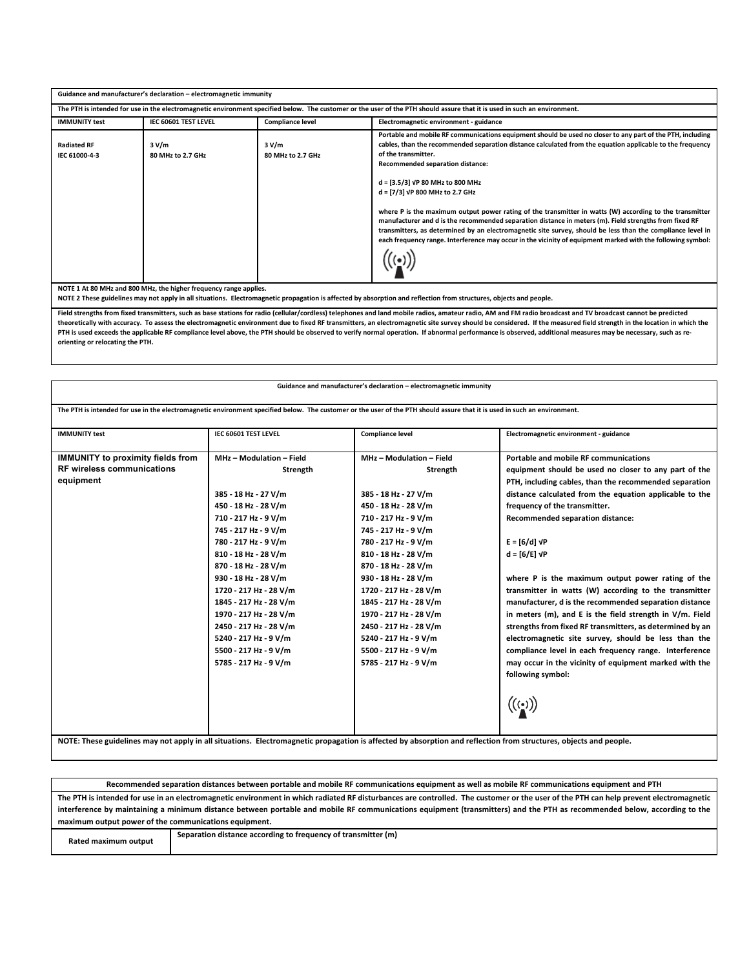| Guidance and manufacturer's declaration - electromagnetic immunity |                                                                                                                                                                           |                                                                   |                                                                                                                                                                                                                                                                                                                                                                                                                                                                                                                                                                                                                                                                                                                                                                                                             |  |  |
|--------------------------------------------------------------------|---------------------------------------------------------------------------------------------------------------------------------------------------------------------------|-------------------------------------------------------------------|-------------------------------------------------------------------------------------------------------------------------------------------------------------------------------------------------------------------------------------------------------------------------------------------------------------------------------------------------------------------------------------------------------------------------------------------------------------------------------------------------------------------------------------------------------------------------------------------------------------------------------------------------------------------------------------------------------------------------------------------------------------------------------------------------------------|--|--|
|                                                                    | The PTH is intended for use in the electromagnetic environment specified below. The customer or the user of the PTH should assure that it is used in such an environment. |                                                                   |                                                                                                                                                                                                                                                                                                                                                                                                                                                                                                                                                                                                                                                                                                                                                                                                             |  |  |
| <b>IMMUNITY test</b>                                               | IEC 60601 TEST LEVEL                                                                                                                                                      | <b>Compliance level</b><br>Electromagnetic environment - guidance |                                                                                                                                                                                                                                                                                                                                                                                                                                                                                                                                                                                                                                                                                                                                                                                                             |  |  |
| <b>Radiated RF</b><br>IEC 61000-4-3                                | 3 V/m<br>80 MHz to 2.7 GHz                                                                                                                                                | 3 V/m<br>80 MHz to 2.7 GHz                                        | Portable and mobile RF communications equipment should be used no closer to any part of the PTH, including<br>cables, than the recommended separation distance calculated from the equation applicable to the frequency<br>of the transmitter.<br>Recommended separation distance:<br>d = [3.5/3] VP 80 MHz to 800 MHz<br>d = [7/3] VP 800 MHz to 2.7 GHz<br>where P is the maximum output power rating of the transmitter in watts (W) according to the transmitter<br>manufacturer and d is the recommended separation distance in meters (m). Field strengths from fixed RF<br>transmitters, as determined by an electromagnetic site survey, should be less than the compliance level in<br>each frequency range. Interference may occur in the vicinity of equipment marked with the following symbol: |  |  |
| NOTE 1 At 80 MHz and 800 MHz, the higher frequency range applies.  |                                                                                                                                                                           |                                                                   |                                                                                                                                                                                                                                                                                                                                                                                                                                                                                                                                                                                                                                                                                                                                                                                                             |  |  |

**NOTE 2 These guidelines may not apply in all situations. Electromagnetic propagation is affected by absorption and reflection from structures, objects and people.**

**Field strengths from fixed transmitters, such as base stations for radio (cellular/cordless) telephones and land mobile radios, amateur radio, AM and FM radio broadcast and TV broadcast cannot be predicted**  theoretically with accuracy. To assess the electromagnetic environment due to fixed RF transmitters, an electromagnetic site survey should be considered. If the measured field strength in the location in which the **PTH is used exceeds the applicable RF compliance level above, the PTH should be observed to verify normal operation. If abnormal performance is observed, additional measures may be necessary, such as reorienting or relocating the PTH.**

| Guidance and manufacturer's declaration - electromagnetic immunity<br>The PTH is intended for use in the electromagnetic environment specified below. The customer or the user of the PTH should assure that it is used in such an environment. |                                                                                                                                                                                                                                                                                                                                                                                                                         |                                                                                                                                                                                                                                                                                                                                                                                                                         |                                                                                                                                                                                                                                                                                                                                                                                                                                                                                                                                                                                                                                                                                                                                                                                                                                                                         |  |  |  |
|-------------------------------------------------------------------------------------------------------------------------------------------------------------------------------------------------------------------------------------------------|-------------------------------------------------------------------------------------------------------------------------------------------------------------------------------------------------------------------------------------------------------------------------------------------------------------------------------------------------------------------------------------------------------------------------|-------------------------------------------------------------------------------------------------------------------------------------------------------------------------------------------------------------------------------------------------------------------------------------------------------------------------------------------------------------------------------------------------------------------------|-------------------------------------------------------------------------------------------------------------------------------------------------------------------------------------------------------------------------------------------------------------------------------------------------------------------------------------------------------------------------------------------------------------------------------------------------------------------------------------------------------------------------------------------------------------------------------------------------------------------------------------------------------------------------------------------------------------------------------------------------------------------------------------------------------------------------------------------------------------------------|--|--|--|
| <b>IMMUNITY test</b>                                                                                                                                                                                                                            | IEC 60601 TEST LEVEL                                                                                                                                                                                                                                                                                                                                                                                                    | <b>Compliance level</b>                                                                                                                                                                                                                                                                                                                                                                                                 | Electromagnetic environment - guidance                                                                                                                                                                                                                                                                                                                                                                                                                                                                                                                                                                                                                                                                                                                                                                                                                                  |  |  |  |
| <b>IMMUNITY to proximity fields from</b><br><b>RF wireless communications</b><br>equipment                                                                                                                                                      | MHz - Modulation - Field<br>Strength<br>385 - 18 Hz - 27 V/m<br>450 - 18 Hz - 28 V/m<br>710 - 217 Hz - 9 V/m<br>745 - 217 Hz - 9 V/m<br>780 - 217 Hz - 9 V/m<br>810 - 18 Hz - 28 V/m<br>870 - 18 Hz - 28 V/m<br>930 - 18 Hz - 28 V/m<br>1720 - 217 Hz - 28 V/m<br>1845 - 217 Hz - 28 V/m<br>1970 - 217 Hz - 28 V/m<br>2450 - 217 Hz - 28 V/m<br>5240 - 217 Hz - 9 V/m<br>5500 - 217 Hz - 9 V/m<br>5785 - 217 Hz - 9 V/m | MHz - Modulation - Field<br>Strength<br>385 - 18 Hz - 27 V/m<br>450 - 18 Hz - 28 V/m<br>710 - 217 Hz - 9 V/m<br>745 - 217 Hz - 9 V/m<br>780 - 217 Hz - 9 V/m<br>810 - 18 Hz - 28 V/m<br>870 - 18 Hz - 28 V/m<br>930 - 18 Hz - 28 V/m<br>1720 - 217 Hz - 28 V/m<br>1845 - 217 Hz - 28 V/m<br>1970 - 217 Hz - 28 V/m<br>2450 - 217 Hz - 28 V/m<br>5240 - 217 Hz - 9 V/m<br>5500 - 217 Hz - 9 V/m<br>5785 - 217 Hz - 9 V/m | Portable and mobile RF communications<br>equipment should be used no closer to any part of the<br>PTH, including cables, than the recommended separation<br>distance calculated from the equation applicable to the<br>frequency of the transmitter.<br>Recommended separation distance:<br>$E = \left[ 6/d \right] \sqrt{P}$<br>$d = \lfloor 6/E \rfloor$ $\sqrt{P}$<br>where P is the maximum output power rating of the<br>transmitter in watts (W) according to the transmitter<br>manufacturer, d is the recommended separation distance<br>in meters (m), and E is the field strength in V/m. Field<br>strengths from fixed RF transmitters, as determined by an<br>electromagnetic site survey, should be less than the<br>compliance level in each frequency range. Interference<br>may occur in the vicinity of equipment marked with the<br>following symbol: |  |  |  |
| NOTE: These guidelines may not apply in all situations. Electromagnetic propagation is affected by absorption and reflection from structures, objects and people.                                                                               |                                                                                                                                                                                                                                                                                                                                                                                                                         |                                                                                                                                                                                                                                                                                                                                                                                                                         |                                                                                                                                                                                                                                                                                                                                                                                                                                                                                                                                                                                                                                                                                                                                                                                                                                                                         |  |  |  |

**Recommended separation distances between portable and mobile RF communications equipment as well as mobile RF communications equipment and PTH The PTH is intended for use in an electromagnetic environment in which radiated RF disturbances are controlled. The customer or the user of the PTH can help prevent electromagnetic interference by maintaining a minimum distance between portable and mobile RF communications equipment (transmitters) and the PTH as recommended below, according to the maximum output power of the communications equipment. Rated maximum output Separation distance according to frequency of transmitter (m)**